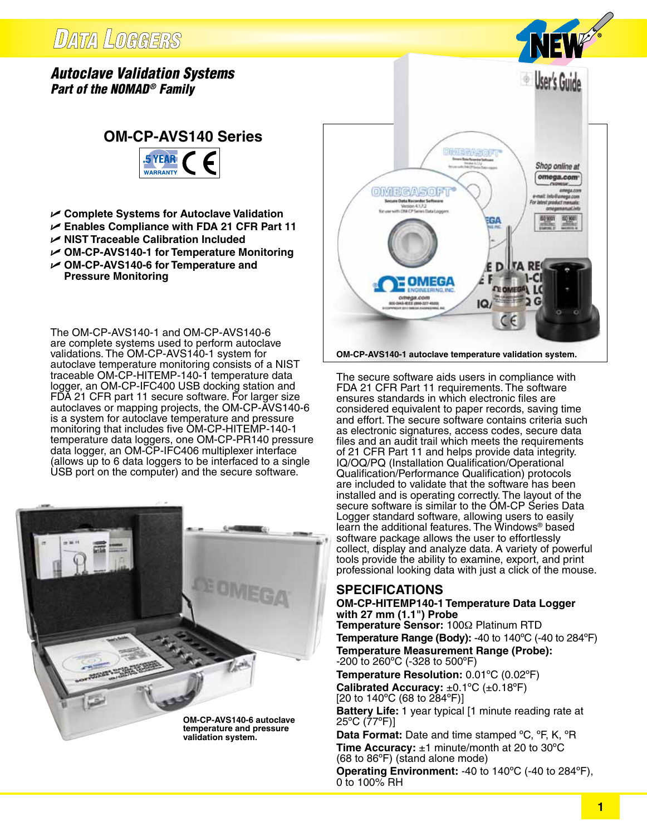## **DATA LOGGERS**

## *Autoclave Validation Systems Part of the NOMAD® Family*





- U **Complete Systems for Autoclave Validation**
- U **Enables Compliance with FDA 21 CFR Part 11**
- U **NIST Traceable Calibration Included**
- U **OM-CP-AVS140-1 for Temperature Monitoring**
- U **OM-CP-AVS140-6 for Temperature and Pressure Monitoring**

The OM-CP-AVS140-1 and OM-CP-AVS140-6 are complete systems used to perform autoclave validations. The OM-CP-AVS140-1 system for autoclave temperature monitoring consists of a NIST traceable OM-CP-HITEMP-140-1 temperature data logger, an OM-CP-IFC400 USB docking station and FDA 21 CFR part 11 secure software. For larger size autoclaves or mapping projects, the OM-CP-AVS140-6 is a system for autoclave temperature and pressure monitoring that includes five OM-CP-HITEMP-140-1 temperature data loggers, one OM-CP-PR140 pressure data logger, an OM-CP-IFC406 multiplexer interface (allows up to 6 data loggers to be interfaced to a single USB port on the computer) and the secure software.





**OM-CP-AVS140-1 autoclave temperature validation system.**

The secure software aids users in compliance with FDA 21 CFR Part 11 requirements. The software ensures standards in which electronic files are considered equivalent to paper records, saving time and effort. The secure software contains criteria such as electronic signatures, access codes, secure data files and an audit trail which meets the requirements of 21 CFR Part 11 and helps provide data integrity. IQ/OQ/PQ (Installation Qualification/Operational Qualification/Performance Qualification) protocols are included to validate that the software has been installed and is operating correctly. The layout of the secure software is similar to the OM-CP Series Data Logger standard software, allowing users to easily learn the additional features. The Windows® based software package allows the user to effortlessly collect, display and analyze data. A variety of powerful tools provide the ability to examine, export, and print professional looking data with just a click of the mouse.

### **SPECIFICATIONS**

#### **OM-CP-HITEMP140-1 Temperature Data Logger with 27 mm (1.1") Probe**

**Temperature Sensor:** 100Ω Platinum RTD **Temperature Range (Body):** -40 to 140ºC (-40 to 284ºF) **Temperature Measurement Range (Probe):**

-200 to 260ºC (-328 to 500ºF)

**Temperature Resolution:** 0.01ºC (0.02ºF) **Calibrated Accuracy:** ±0.1ºC (±0.18ºF) [20 to 140°C (68 to 284°F)]

**Battery Life:** 1 year typical [1 minute reading rate at 25ºC (77ºF)]

**Data Format:** Date and time stamped ºC, ºF, K, ºR **Time Accuracy:** ±1 minute/month at 20 to 30ºC (68 to 86ºF) (stand alone mode)

**Operating Environment:** -40 to 140ºC (-40 to 284ºF), 0 to 100% RH